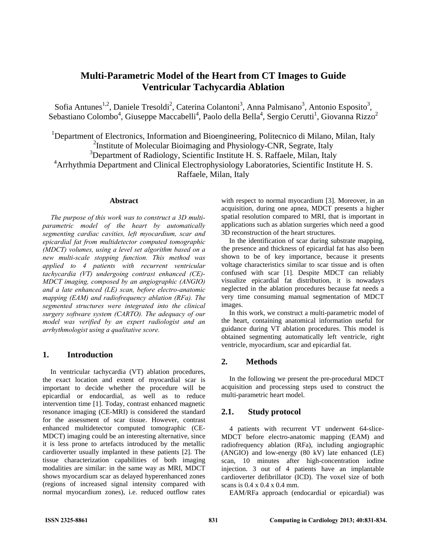# **Multi-Parametric Model of the Heart from CT Images to Guide Ventricular Tachycardia Ablation**

Sofia Antunes<sup>1,2</sup>, Daniele Tresoldi<sup>2</sup>, Caterina Colantoni<sup>3</sup>, Anna Palmisano<sup>3</sup>, Antonio Esposito<sup>3</sup>, Sebastiano Colombo<sup>4</sup>, Giuseppe Maccabelli<sup>4</sup>, Paolo della Bella<sup>4</sup>, Sergio Cerutti<sup>1</sup>, Giovanna Rizzo<sup>2</sup>

<sup>1</sup>Department of Electronics, Information and Bioengineering, Politecnico di Milano, Milan, Italy <sup>2</sup> Institute of Molecular Bioimaging and Physiology-CNR, Segrate, Italy <sup>3</sup>Department of Radiology, Scientific Institute H. S. Raffaele, Milan, Italy <sup>4</sup> Arrhythmia Department and Clinical Electrophysiology Laboratories, Scientific Institute H. S. Raffaele, Milan, Italy

#### **Abstract**

*The purpose of this work was to construct a 3D multiparametric model of the heart by automatically segmenting cardiac cavities, left myocardium, scar and epicardial fat from multidetector computed tomographic (MDCT) volumes, using a level set algorithm based on a new multi-scale stopping function. This method was applied to 4 patients with recurrent ventricular tachycardia (VT) undergoing contrast enhanced (CE)- MDCT imaging, composed by an angiographic (ANGIO) and a late enhanced (LE) scan, before electro-anatomic mapping (EAM) and radiofrequency ablation (RFa). The segmented structures were integrated into the clinical surgery software system (CARTO). The adequacy of our model was verified by an expert radiologist and an arrhythmologist using a qualitative score.* 

# **1. Introduction**

In ventricular tachycardia (VT) ablation procedures, the exact location and extent of myocardial scar is important to decide whether the procedure will be epicardial or endocardial, as well as to reduce intervention time [1]. Today, contrast enhanced magnetic resonance imaging (CE-MRI) is considered the standard for the assessment of scar tissue. However, contrast enhanced multidetector computed tomographic (CE-MDCT) imaging could be an interesting alternative, since it is less prone to artefacts introduced by the metallic cardioverter usually implanted in these patients [2]. The tissue characterization capabilities of both imaging modalities are similar: in the same way as MRI, MDCT shows myocardium scar as delayed hyperenhanced zones (regions of increased signal intensity compared with normal myocardium zones), i.e. reduced outflow rates with respect to normal myocardium [3]. Moreover, in an acquisition, during one apnea, MDCT presents a higher spatial resolution compared to MRI, that is important in applications such as ablation surgeries which need a good 3D reconstruction of the heart structures.

In the identification of scar during substrate mapping, the presence and thickness of epicardial fat has also been shown to be of key importance, because it presents voltage characteristics similar to scar tissue and is often confused with scar [1]. Despite MDCT can reliably visualize epicardial fat distribution, it is nowadays neglected in the ablation procedures because fat needs a very time consuming manual segmentation of MDCT images.

In this work, we construct a multi-parametric model of the heart, containing anatomical information useful for guidance during VT ablation procedures. This model is obtained segmenting automatically left ventricle, right ventricle, myocardium, scar and epicardial fat.

# **2. Methods**

In the following we present the pre-procedural MDCT acquisition and processing steps used to construct the multi-parametric heart model.

# **2.1. Study protocol**

4 patients with recurrent VT underwent 64-slice-MDCT before electro-anatomic mapping (EAM) and radiofrequency ablation (RFa), including angiographic (ANGIO) and low-energy (80 kV) late enhanced (LE) scan, 10 minutes after high-concentration iodine injection. 3 out of 4 patients have an implantable cardioverter defibrillator (ICD). The voxel size of both scans is 0.4 x 0.4 x 0.4 mm.

EAM/RFa approach (endocardial or epicardial) was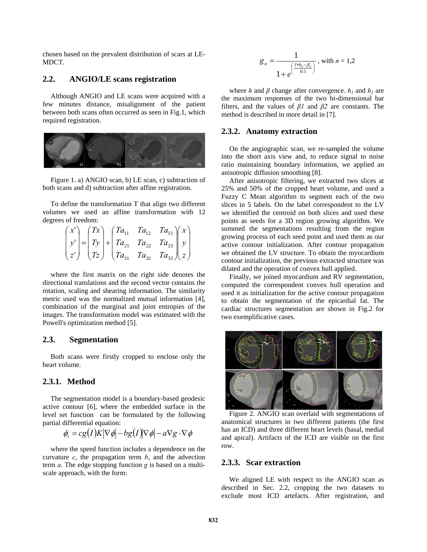chosen based on the prevalent distribution of scars at LE-MDCT.

#### **2.2. ANGIO/LE scans registration**

Although ANGIO and LE scans were acquired with a few minutes distance, misalignment of the patient between both scans often occurred as seen in Fig.1, which required registration.



Figure 1. a) ANGIO scan, b) LE scan, c) subtraction of both scans and d) subtraction after affine registration.

To define the transformation T that align two different volumes we used an affine transformation with 12 degrees of freedom:

|  |  | $\begin{pmatrix} x' \\ y' \\ z' \end{pmatrix} = \begin{pmatrix} Tx \\ Ty \\ Tz \end{pmatrix} + \begin{pmatrix} Ta_{11} & Ta_{12} & Ta_{13} \\ Ta_{21} & Ta_{22} & Ta_{23} \\ Ta_{31} & Ta_{32} & Ta_{33} \end{pmatrix} \begin{pmatrix} x \\ y \\ z \end{pmatrix}$ |  |
|--|--|-------------------------------------------------------------------------------------------------------------------------------------------------------------------------------------------------------------------------------------------------------------------|--|

where the first matrix on the right side denotes the directional translations and the second vector contains the rotation, scaling and shearing information. The similarity metric used was the normalized mutual information [4], combination of the marginal and joint entropies of the images. The transformation model was estimated with the Powell's optimization method [5].

#### **2.3. Segmentation**

Both scans were firstly cropped to enclose only the heart volume.

# **2.3.1. Method**

The segmentation model is a boundary-based geodesic active contour [6], where the embedded surface in the level set function can be formulated by the following partial differential equation:

$$
\phi_t = cg(I)K|\nabla \phi| - bg(I)|\nabla \phi| - a\nabla g \cdot \nabla \phi
$$

where the speed function includes a dependence on the curvature  $c$ , the propagation term  $b$ , and the advection term *a*. The edge stopping function *g* is based on a multiscale approach, with the form:

$$
g_n = \frac{1}{1 + e^{\left(\frac{I * h_n - \beta_n}{0.1}\right)}}, \text{ with } n = 1, 2
$$

where *h* and  $\beta$  change after convergence.  $h_1$  and  $h_2$  are the maximum responses of the two bi-dimensional bar filters, and the values of *β1* and *β2* are constants. The method is described in more detail in [7].

#### **2.3.2. Anatomy extraction**

On the angiographic scan, we re-sampled the volume into the short axis view and, to reduce signal to noise ratio maintaining boundary information, we applied an anisotropic diffusion smoothing [8].

After anisotropic filtering, we extracted two slices at 25% and 50% of the cropped heart volume, and used a Fuzzy C Mean algorithm to segment each of the two slices in 5 labels. On the label correspondent to the LV we identified the centroid on both slices and used these points as seeds for a 3D region growing algorithm. We summed the segmentations resulting from the region growing process of each seed point and used them as our active contour initialization. After contour propagation we obtained the LV structure. To obtain the myocardium contour initialization, the previous extracted structure was dilated and the operation of convex hull applied.

Finally, we joined myocardium and RV segmentation, computed the correspondent convex hull operation and used it as initialization for the active contour propagation to obtain the segmentation of the epicardial fat. The cardiac structures segmentation are shown in Fig.2 for two exemplificative cases.



Figure 2. ANGIO scan overlaid with segmentations of anatomical structures in two different patients (the first has an ICD) and three different heart levels (basal, medial and apical). Artifacts of the ICD are visible on the first row.

#### **2.3.3. Scar extraction**

We aligned LE with respect to the ANGIO scan as described in Sec. 2.2, cropping the two datasets to exclude most ICD artefacts. After registration, and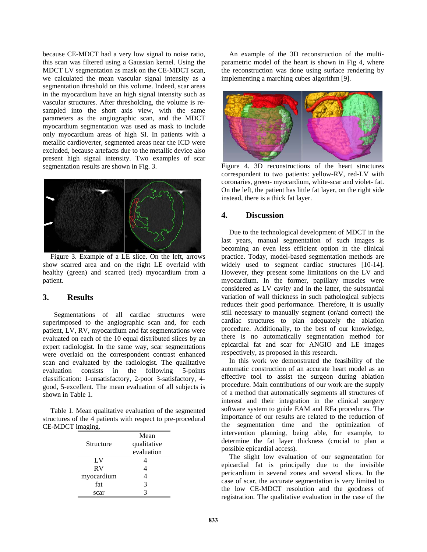because CE-MDCT had a very low signal to noise ratio, this scan was filtered using a Gaussian kernel. Using the MDCT LV segmentation as mask on the CE-MDCT scan, we calculated the mean vascular signal intensity as a segmentation threshold on this volume. Indeed, scar areas in the myocardium have an high signal intensity such as vascular structures. After thresholding, the volume is resampled into the short axis view, with the same parameters as the angiographic scan, and the MDCT myocardium segmentation was used as mask to include only myocardium areas of high SI. In patients with a metallic cardioverter, segmented areas near the ICD were excluded, because artefacts due to the metallic device also present high signal intensity. Two examples of scar segmentation results are shown in Fig. 3.



Figure 3. Example of a LE slice. On the left, arrows show scarred area and on the right LE overlaid with healthy (green) and scarred (red) myocardium from a patient.

# **3. Results**

 Segmentations of all cardiac structures were superimposed to the angiographic scan and, for each patient, LV, RV, myocardium and fat segmentations were evaluated on each of the 10 equal distributed slices by an expert radiologist. In the same way, scar segmentations were overlaid on the correspondent contrast enhanced scan and evaluated by the radiologist. The qualitative evaluation consists in the following 5-points classification: 1-unsatisfactory, 2-poor 3-satisfactory, 4 good, 5-excellent. The mean evaluation of all subjects is shown in Table 1.

Table 1. Mean qualitative evaluation of the segmented structures of the 4 patients with respect to pre-procedural CE-MDCT imaging.

| Mean        |  |  |
|-------------|--|--|
| qualitative |  |  |
| evaluation  |  |  |
|             |  |  |
|             |  |  |
|             |  |  |
| 3           |  |  |
|             |  |  |
|             |  |  |

An example of the 3D reconstruction of the multiparametric model of the heart is shown in Fig 4, where the reconstruction was done using surface rendering by implementing a marching cubes algorithm [9].



Figure 4. 3D reconstructions of the heart structures correspondent to two patients: yellow-RV, red-LV with coronaries, green- myocardium, white-scar and violet- fat. On the left, the patient has little fat layer, on the right side instead, there is a thick fat layer.

# **4. Discussion**

Due to the technological development of MDCT in the last years, manual segmentation of such images is becoming an even less efficient option in the clinical practice. Today, model-based segmentation methods are widely used to segment cardiac structures [10-14]. However, they present some limitations on the LV and myocardium. In the former, papillary muscles were considered as LV cavity and in the latter, the substantial variation of wall thickness in such pathological subjects reduces their good performance. Therefore, it is usually still necessary to manually segment (or/and correct) the cardiac structures to plan adequately the ablation procedure. Additionally, to the best of our knowledge, there is no automatically segmentation method for epicardial fat and scar for ANGIO and LE images respectively, as proposed in this research.

In this work we demonstrated the feasibility of the automatic construction of an accurate heart model as an effective tool to assist the surgeon during ablation procedure. Main contributions of our work are the supply of a method that automatically segments all structures of interest and their integration in the clinical surgery software system to guide EAM and RFa procedures. The importance of our results are related to the reduction of the segmentation time and the optimization of intervention planning, being able, for example, to determine the fat layer thickness (crucial to plan a possible epicardial access).

The slight low evaluation of our segmentation for epicardial fat is principally due to the invisible pericardium in several zones and several slices. In the case of scar, the accurate segmentation is very limited to the low CE-MDCT resolution and the goodness of registration. The qualitative evaluation in the case of the